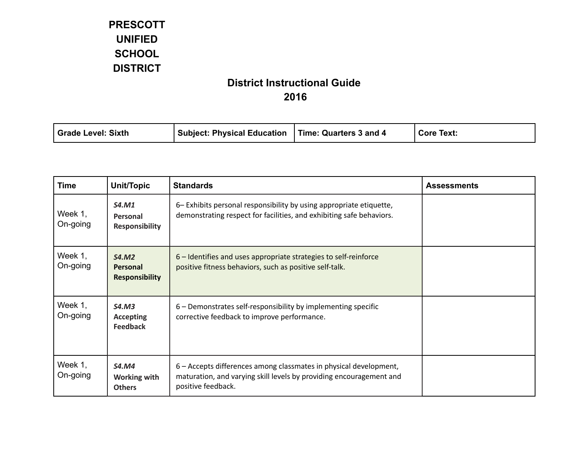| Time: Quarters 3 and 4<br>Grade Level: Sixth<br>' Subject: Physical Education<br><b>Core Text:</b> |  |
|----------------------------------------------------------------------------------------------------|--|
|----------------------------------------------------------------------------------------------------|--|

| <b>Time</b>         | <b>Unit/Topic</b>                                    | <b>Standards</b>                                                                                                                                               | <b>Assessments</b> |
|---------------------|------------------------------------------------------|----------------------------------------------------------------------------------------------------------------------------------------------------------------|--------------------|
| Week 1,<br>On-going | <b>S4.M1</b><br>Personal<br><b>Responsibility</b>    | 6– Exhibits personal responsibility by using appropriate etiquette,<br>demonstrating respect for facilities, and exhibiting safe behaviors.                    |                    |
| Week 1,<br>On-going | <b>S4.M2</b><br>Personal<br><b>Responsibility</b>    | 6 – Identifies and uses appropriate strategies to self-reinforce<br>positive fitness behaviors, such as positive self-talk.                                    |                    |
| Week 1,<br>On-going | S4.M3<br><b>Accepting</b><br><b>Feedback</b>         | 6 - Demonstrates self-responsibility by implementing specific<br>corrective feedback to improve performance.                                                   |                    |
| Week 1,<br>On-going | <b>S4.M4</b><br><b>Working with</b><br><b>Others</b> | 6 – Accepts differences among classmates in physical development,<br>maturation, and varying skill levels by providing encouragement and<br>positive feedback. |                    |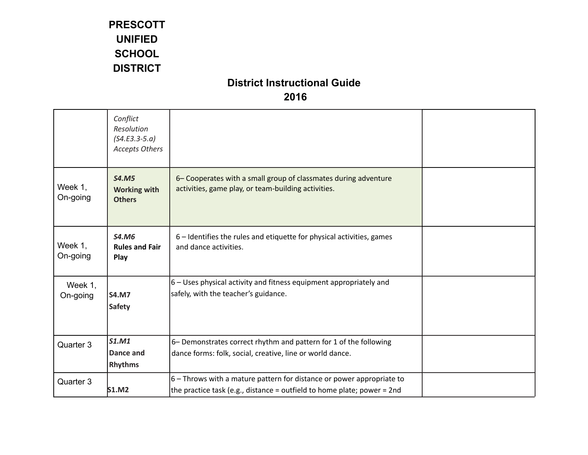|                     | Conflict<br>Resolution<br>$(S4.E3.3-5.a)$<br><b>Accepts Others</b> |                                                                                                                                                    |  |
|---------------------|--------------------------------------------------------------------|----------------------------------------------------------------------------------------------------------------------------------------------------|--|
| Week 1,<br>On-going | <b>S4.M5</b><br><b>Working with</b><br><b>Others</b>               | 6- Cooperates with a small group of classmates during adventure<br>activities, game play, or team-building activities.                             |  |
| Week 1,<br>On-going | <b>S4.M6</b><br><b>Rules and Fair</b><br>Play                      | 6 – Identifies the rules and etiquette for physical activities, games<br>and dance activities.                                                     |  |
| Week 1,<br>On-going | <b>S4.M7</b><br><b>Safety</b>                                      | 6 - Uses physical activity and fitness equipment appropriately and<br>safely, with the teacher's guidance.                                         |  |
| Quarter 3           | <b>S1.M1</b><br>Dance and<br><b>Rhythms</b>                        | 6- Demonstrates correct rhythm and pattern for 1 of the following<br>dance forms: folk, social, creative, line or world dance.                     |  |
| Quarter 3           | <b>S1.M2</b>                                                       | $6$ – Throws with a mature pattern for distance or power appropriate to<br>the practice task (e.g., distance = outfield to home plate; power = 2nd |  |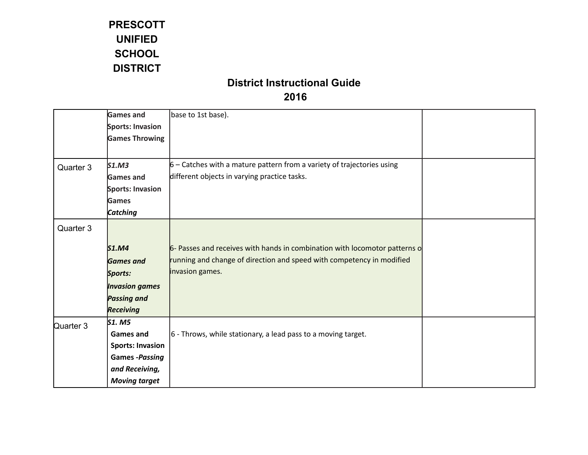|           | <b>Games and</b>        | base to 1st base).                                                         |  |
|-----------|-------------------------|----------------------------------------------------------------------------|--|
|           | Sports: Invasion        |                                                                            |  |
|           | <b>Games Throwing</b>   |                                                                            |  |
|           |                         |                                                                            |  |
| Quarter 3 | S1.M3                   | $6$ – Catches with a mature pattern from a variety of trajectories using   |  |
|           | <b>Games and</b>        | different objects in varying practice tasks.                               |  |
|           | Sports: Invasion        |                                                                            |  |
|           | Games                   |                                                                            |  |
|           | <b>Catching</b>         |                                                                            |  |
|           |                         |                                                                            |  |
| Quarter 3 |                         |                                                                            |  |
|           | <b>S1.M4</b>            | 6- Passes and receives with hands in combination with locomotor patterns o |  |
|           | <b>Games and</b>        | running and change of direction and speed with competency in modified      |  |
|           | Sports:                 | invasion games.                                                            |  |
|           | <b>Invasion games</b>   |                                                                            |  |
|           | <b>Passing and</b>      |                                                                            |  |
|           | <b>Receiving</b>        |                                                                            |  |
| Quarter 3 | S1. M5                  |                                                                            |  |
|           | <b>Games and</b>        | $ 6 - Throws$ , while stationary, a lead pass to a moving target.          |  |
|           | <b>Sports: Invasion</b> |                                                                            |  |
|           | <b>Games -Passing</b>   |                                                                            |  |
|           | and Receiving,          |                                                                            |  |
|           | <b>Moving target</b>    |                                                                            |  |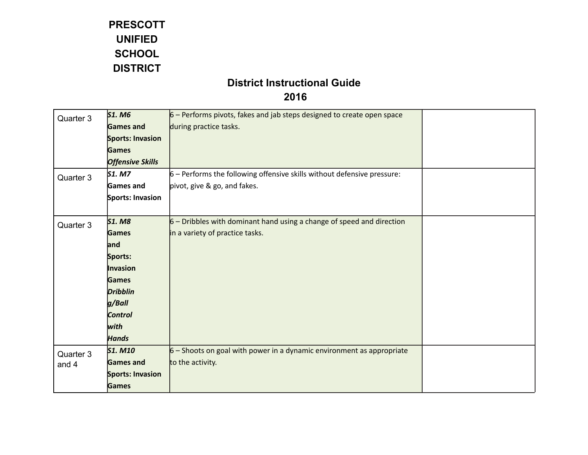# **District Instructional Guide**

#### **2016**

| Quarter 3 | <b>S1. M6</b>           | $6$ – Performs pivots, fakes and jab steps designed to create open space  |  |
|-----------|-------------------------|---------------------------------------------------------------------------|--|
|           | <b>Games and</b>        | during practice tasks.                                                    |  |
|           | <b>Sports: Invasion</b> |                                                                           |  |
|           | <b>Games</b>            |                                                                           |  |
|           | <b>Offensive Skills</b> |                                                                           |  |
| Quarter 3 | <b>S1. M7</b>           | $6$ – Performs the following offensive skills without defensive pressure: |  |
|           | Games and               | pivot, give & go, and fakes.                                              |  |
|           | Sports: Invasion        |                                                                           |  |
|           |                         |                                                                           |  |
| Quarter 3 | <b>S1. M8</b>           | $6$ – Dribbles with dominant hand using a change of speed and direction   |  |
|           | <b>Games</b>            | in a variety of practice tasks.                                           |  |
|           | and                     |                                                                           |  |
|           | Sports:                 |                                                                           |  |
|           | Invasion                |                                                                           |  |
|           | <b>Games</b>            |                                                                           |  |
|           | <b>Dribblin</b>         |                                                                           |  |
|           | g/Ball                  |                                                                           |  |
|           | <b>Control</b>          |                                                                           |  |
|           | with                    |                                                                           |  |
|           | <b>Hands</b>            |                                                                           |  |
| Quarter 3 | <b>S1. M10</b>          | $6$ – Shoots on goal with power in a dynamic environment as appropriate   |  |
| and 4     | <b>Games and</b>        | to the activity.                                                          |  |
|           | <b>Sports: Invasion</b> |                                                                           |  |
|           | <b>Games</b>            |                                                                           |  |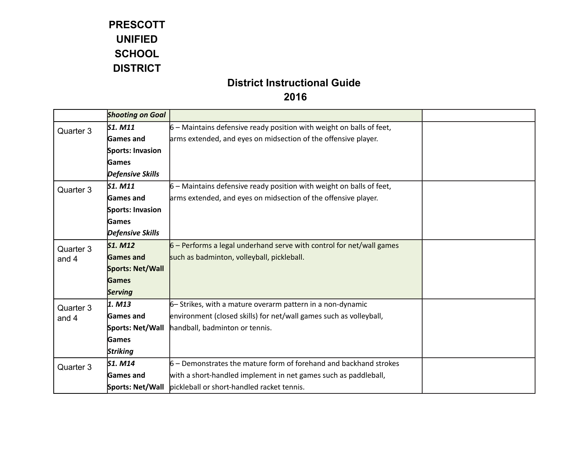|           | <b>Shooting on Goal</b> |                                                                        |  |
|-----------|-------------------------|------------------------------------------------------------------------|--|
| Quarter 3 | S1. M11                 | $6$ – Maintains defensive ready position with weight on balls of feet, |  |
|           | <b>Games and</b>        | arms extended, and eyes on midsection of the offensive player.         |  |
|           | Sports: Invasion        |                                                                        |  |
|           | <b>Games</b>            |                                                                        |  |
|           | <b>Defensive Skills</b> |                                                                        |  |
| Quarter 3 | S1. M11                 | $6$ – Maintains defensive ready position with weight on balls of feet, |  |
|           | <b>Games and</b>        | arms extended, and eyes on midsection of the offensive player.         |  |
|           | Sports: Invasion        |                                                                        |  |
|           | <b>Games</b>            |                                                                        |  |
|           | <b>Defensive Skills</b> |                                                                        |  |
| Quarter 3 | <b>S1. M12</b>          | $6$ – Performs a legal underhand serve with control for net/wall games |  |
| and 4     | <b>Games and</b>        | such as badminton, volleyball, pickleball.                             |  |
|           | Sports: Net/Wall        |                                                                        |  |
|           | Games                   |                                                                        |  |
|           | <b>Serving</b>          |                                                                        |  |
| Quarter 3 | 1. M13                  | 6 - Strikes, with a mature overarm pattern in a non-dynamic            |  |
| and 4     | <b>Games</b> and        | environment (closed skills) for net/wall games such as volleyball,     |  |
|           | Sports: Net/Wall        | handball, badminton or tennis.                                         |  |
|           | Games                   |                                                                        |  |
|           | <b>Striking</b>         |                                                                        |  |
| Quarter 3 | S1. M14                 | $6$ – Demonstrates the mature form of forehand and backhand strokes    |  |
|           | Games and               | with a short-handled implement in net games such as paddleball,        |  |
|           | Sports: Net/Wall        | pickleball or short-handled racket tennis.                             |  |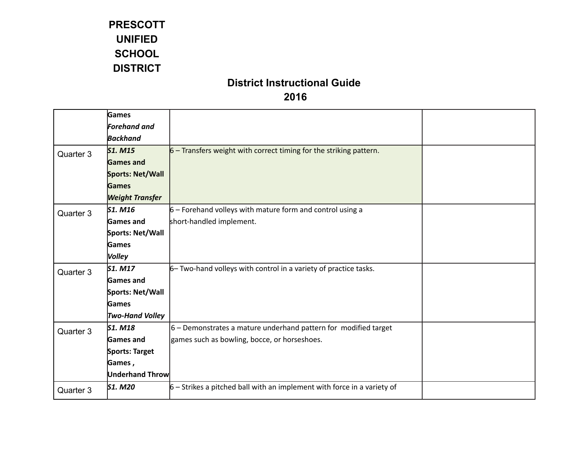|           | Games                  |                                                                           |  |
|-----------|------------------------|---------------------------------------------------------------------------|--|
|           | <b>Forehand and</b>    |                                                                           |  |
|           | <b>Backhand</b>        |                                                                           |  |
| Quarter 3 | <b>S1. M15</b>         | $6$ – Transfers weight with correct timing for the striking pattern.      |  |
|           | <b>Games and</b>       |                                                                           |  |
|           | Sports: Net/Wall       |                                                                           |  |
|           | <b>Games</b>           |                                                                           |  |
|           | <b>Weight Transfer</b> |                                                                           |  |
| Quarter 3 | S1. M16                | $6$ – Forehand volleys with mature form and control using a               |  |
|           | <b>Games</b> and       | short-handled implement.                                                  |  |
|           | Sports: Net/Wall       |                                                                           |  |
|           | Games                  |                                                                           |  |
|           | <b>Volley</b>          |                                                                           |  |
| Quarter 3 | $S1.$ M17              | 6- Two-hand volleys with control in a variety of practice tasks.          |  |
|           | Games and              |                                                                           |  |
|           | Sports: Net/Wall       |                                                                           |  |
|           | Games                  |                                                                           |  |
|           | <b>Two-Hand Volley</b> |                                                                           |  |
| Quarter 3 | S1. M18                | $6$ – Demonstrates a mature underhand pattern for modified target         |  |
|           | <b>Games</b> and       | games such as bowling, bocce, or horseshoes.                              |  |
|           | Sports: Target         |                                                                           |  |
|           | Games,                 |                                                                           |  |
|           | <b>Underhand Throw</b> |                                                                           |  |
| Quarter 3 | <b>S1. M20</b>         | $6$ – Strikes a pitched ball with an implement with force in a variety of |  |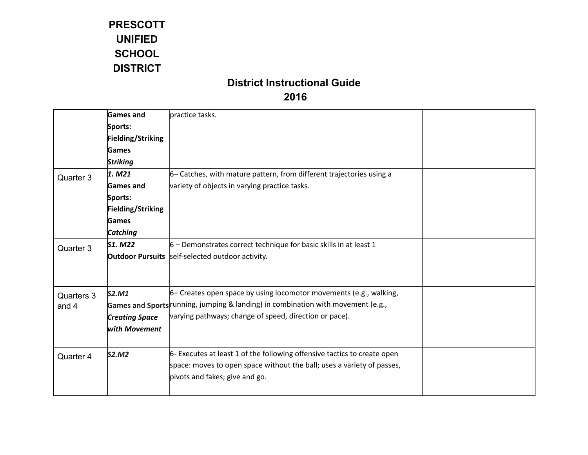|            | <b>Games and</b>         | practice tasks.                                                                  |  |
|------------|--------------------------|----------------------------------------------------------------------------------|--|
|            | Sports:                  |                                                                                  |  |
|            | Fielding/Striking        |                                                                                  |  |
|            | Games                    |                                                                                  |  |
|            | <b>Striking</b>          |                                                                                  |  |
| Quarter 3  | 1. M21                   | 6 - Catches, with mature pattern, from different trajectories using a            |  |
|            | <b>Games and</b>         | variety of objects in varying practice tasks.                                    |  |
|            | Sports:                  |                                                                                  |  |
|            | <b>Fielding/Striking</b> |                                                                                  |  |
|            | Games                    |                                                                                  |  |
|            | Catching                 |                                                                                  |  |
| Quarter 3  | <b>S1. M22</b>           | $6$ – Demonstrates correct technique for basic skills in at least 1              |  |
|            |                          | <b>Outdoor Pursuits</b> self-selected outdoor activity.                          |  |
|            |                          |                                                                                  |  |
|            |                          |                                                                                  |  |
| Quarters 3 | S2.M1                    | 6 - Creates open space by using locomotor movements (e.g., walking,              |  |
| and 4      |                          | Games and Sports running, jumping & landing) in combination with movement (e.g., |  |
|            | <b>Creating Space</b>    | varying pathways; change of speed, direction or pace).                           |  |
|            | with Movement            |                                                                                  |  |
|            |                          |                                                                                  |  |
| Quarter 4  | S2.M2                    | 6- Executes at least 1 of the following offensive tactics to create open         |  |
|            |                          | space: moves to open space without the ball; uses a variety of passes,           |  |
|            |                          | pivots and fakes; give and go.                                                   |  |
|            |                          |                                                                                  |  |
|            |                          |                                                                                  |  |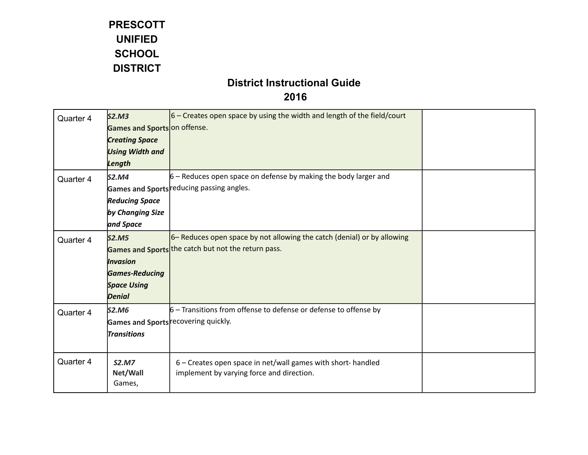| Quarter 4 | S2.M3<br>Games and Sports on offense.                                                           | $ 6 -$ Creates open space by using the width and length of the field/court                                                     |  |
|-----------|-------------------------------------------------------------------------------------------------|--------------------------------------------------------------------------------------------------------------------------------|--|
|           | <b>Creating Space</b><br><b>Using Width and</b><br>Length                                       |                                                                                                                                |  |
| Quarter 4 | S2.M4<br><b>Reducing Space</b><br>by Changing Size<br>and Space                                 | $6$ – Reduces open space on defense by making the body larger and<br>Games and Sports reducing passing angles.                 |  |
| Quarter 4 | <b>S2.M5</b><br><b>Invasion</b><br><b>Games-Reducing</b><br><b>Space Using</b><br><b>Denial</b> | 6– Reduces open space by not allowing the catch (denial) or by allowing<br>Games and Sports the catch but not the return pass. |  |
| Quarter 4 | S2.M6<br><b>Transitions</b>                                                                     | $6$ – Transitions from offense to defense or defense to offense by<br>Games and Sports recovering quickly.                     |  |
| Quarter 4 | <b>S2.M7</b><br>Net/Wall<br>Games,                                                              | 6 - Creates open space in net/wall games with short- handled<br>implement by varying force and direction.                      |  |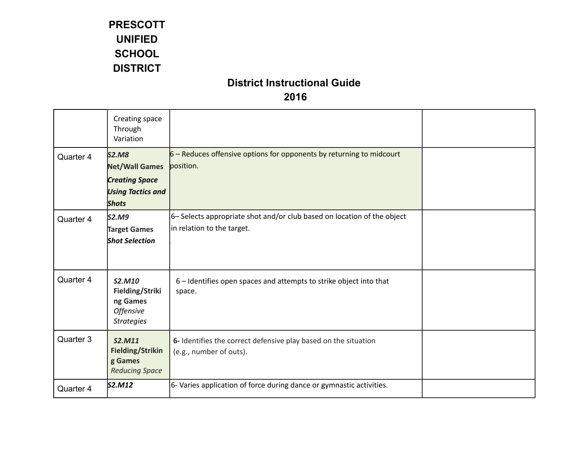|           | Creating space<br>Through<br>Variation                                                                     |                                                                                                       |  |
|-----------|------------------------------------------------------------------------------------------------------------|-------------------------------------------------------------------------------------------------------|--|
| Quarter 4 | <b>S2.M8</b><br><b>Net/Wall Games</b><br><b>Creating Space</b><br><b>Using Tactics and</b><br><b>Shots</b> | $6$ – Reduces offensive options for opponents by returning to midcourt<br>position.                   |  |
| Quarter 4 | S2.M9<br><b>Target Games</b><br><b>Shot Selection</b>                                                      | 6- Selects appropriate shot and/or club based on location of the object<br>in relation to the target. |  |
| Quarter 4 | <b>S2.M10</b><br>Fielding/Striki<br>ng Games<br><b>Offensive</b><br><b>Strategies</b>                      | 6 - Identifies open spaces and attempts to strike object into that<br>space.                          |  |
| Quarter 3 | S2.M11<br><b>Fielding/Strikin</b><br>g Games<br><b>Reducing Space</b>                                      | 6- Identifies the correct defensive play based on the situation<br>(e.g., number of outs).            |  |
| Quarter 4 | S2.M12                                                                                                     | 6- Varies application of force during dance or gymnastic activities.                                  |  |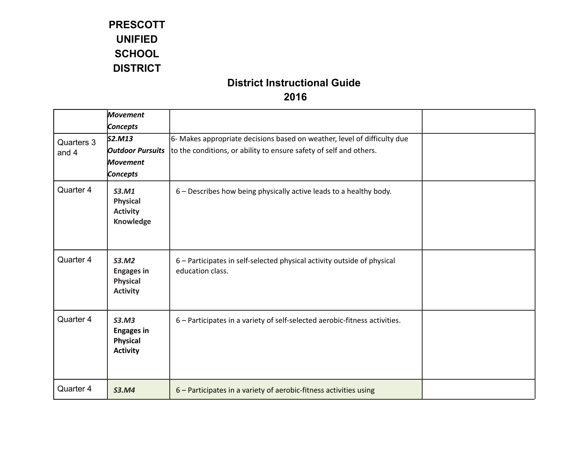|            | <b>Movement</b>                                                  |                                                                                             |  |
|------------|------------------------------------------------------------------|---------------------------------------------------------------------------------------------|--|
|            | Concepts                                                         |                                                                                             |  |
| Quarters 3 | S2.M13                                                           | 6- Makes appropriate decisions based on weather, level of difficulty due                    |  |
| and 4      | <b>Outdoor Pursuits</b>                                          | to the conditions, or ability to ensure safety of self and others.                          |  |
|            | <b>Movement</b>                                                  |                                                                                             |  |
|            | Concepts                                                         |                                                                                             |  |
| Quarter 4  | S3.M1<br><b>Physical</b><br><b>Activity</b><br>Knowledge         | 6 - Describes how being physically active leads to a healthy body.                          |  |
| Quarter 4  | S3.M2<br><b>Engages in</b><br><b>Physical</b><br><b>Activity</b> | 6 - Participates in self-selected physical activity outside of physical<br>education class. |  |
| Quarter 4  | S3.M3<br><b>Engages in</b><br><b>Physical</b><br><b>Activity</b> | 6 - Participates in a variety of self-selected aerobic-fitness activities.                  |  |
| Quarter 4  | <b>S3.M4</b>                                                     | 6 - Participates in a variety of aerobic-fitness activities using                           |  |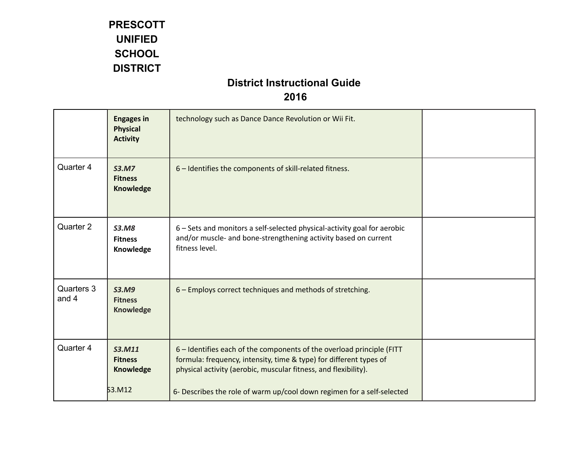|                       | <b>Engages in</b><br><b>Physical</b><br><b>Activity</b> | technology such as Dance Dance Revolution or Wii Fit.                                                                                                                                                          |  |
|-----------------------|---------------------------------------------------------|----------------------------------------------------------------------------------------------------------------------------------------------------------------------------------------------------------------|--|
| Quarter 4             | <b>S3.M7</b><br><b>Fitness</b><br>Knowledge             | 6 - Identifies the components of skill-related fitness.                                                                                                                                                        |  |
| Quarter 2             | <b>S3.M8</b><br><b>Fitness</b><br>Knowledge             | 6 - Sets and monitors a self-selected physical-activity goal for aerobic<br>and/or muscle- and bone-strengthening activity based on current<br>fitness level.                                                  |  |
| Quarters 3<br>and $4$ | <b>S3.M9</b><br><b>Fitness</b><br><b>Knowledge</b>      | 6 - Employs correct techniques and methods of stretching.                                                                                                                                                      |  |
| Quarter 4             | <b>S3.M11</b><br><b>Fitness</b><br>Knowledge            | 6 - Identifies each of the components of the overload principle (FITT<br>formula: frequency, intensity, time & type) for different types of<br>physical activity (aerobic, muscular fitness, and flexibility). |  |
|                       | 53.M12                                                  | 6- Describes the role of warm up/cool down regimen for a self-selected                                                                                                                                         |  |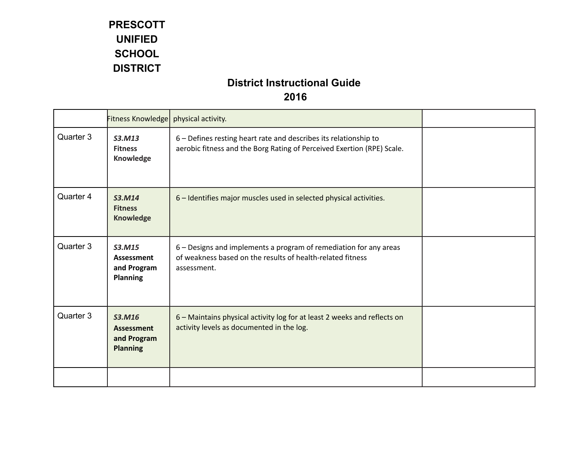|           | Fitness Knowledge   physical activity.                        |                                                                                                                                                |  |
|-----------|---------------------------------------------------------------|------------------------------------------------------------------------------------------------------------------------------------------------|--|
| Quarter 3 | S3.M13<br><b>Fitness</b><br>Knowledge                         | 6 - Defines resting heart rate and describes its relationship to<br>aerobic fitness and the Borg Rating of Perceived Exertion (RPE) Scale.     |  |
| Quarter 4 | S3.M14<br><b>Fitness</b><br><b>Knowledge</b>                  | 6 - Identifies major muscles used in selected physical activities.                                                                             |  |
| Quarter 3 | S3.M15<br>Assessment<br>and Program<br><b>Planning</b>        | 6 – Designs and implements a program of remediation for any areas<br>of weakness based on the results of health-related fitness<br>assessment. |  |
| Quarter 3 | S3.M16<br><b>Assessment</b><br>and Program<br><b>Planning</b> | 6 - Maintains physical activity log for at least 2 weeks and reflects on<br>activity levels as documented in the log.                          |  |
|           |                                                               |                                                                                                                                                |  |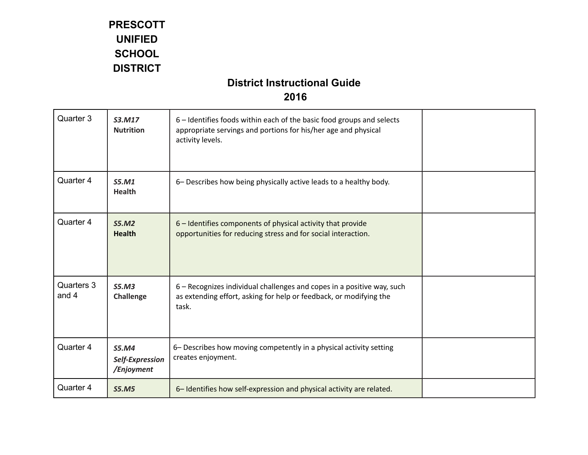| Quarter 3           | S3.M17<br><b>Nutrition</b>                    | 6 – Identifies foods within each of the basic food groups and selects<br>appropriate servings and portions for his/her age and physical<br>activity levels. |  |
|---------------------|-----------------------------------------------|-------------------------------------------------------------------------------------------------------------------------------------------------------------|--|
| Quarter 4           | S5.M1<br><b>Health</b>                        | 6- Describes how being physically active leads to a healthy body.                                                                                           |  |
| Quarter 4           | S5.M2<br><b>Health</b>                        | 6 - Identifies components of physical activity that provide<br>opportunities for reducing stress and for social interaction.                                |  |
| Quarters 3<br>and 4 | S5.M3<br>Challenge                            | 6 - Recognizes individual challenges and copes in a positive way, such<br>as extending effort, asking for help or feedback, or modifying the<br>task.       |  |
| Quarter 4           | <b>S5.M4</b><br>Self-Expression<br>/Enjoyment | 6- Describes how moving competently in a physical activity setting<br>creates enjoyment.                                                                    |  |
| Quarter 4           | <b>S5.M5</b>                                  | 6-Identifies how self-expression and physical activity are related.                                                                                         |  |